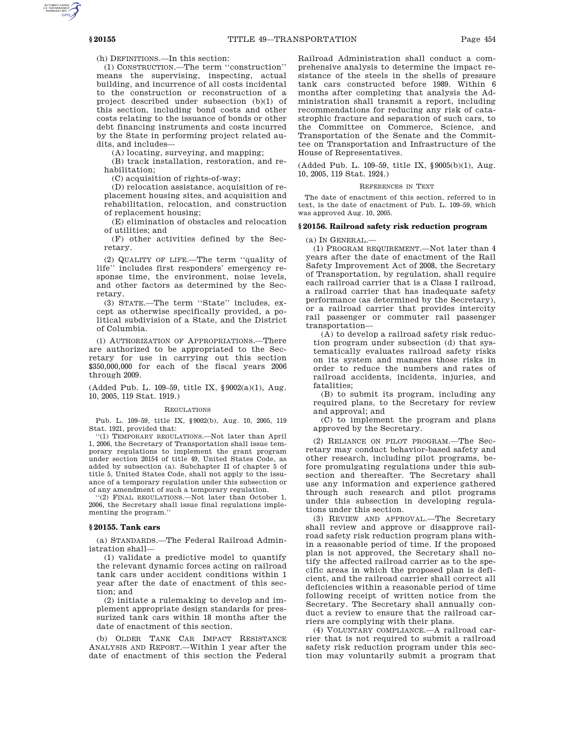(h) DEFINITIONS.—In this section:

(1) CONSTRUCTION.—The term ''construction'' means the supervising, inspecting, actual building, and incurrence of all costs incidental to the construction or reconstruction of a project described under subsection (b)(1) of this section, including bond costs and other costs relating to the issuance of bonds or other debt financing instruments and costs incurred by the State in performing project related audits, and includes—

(A) locating, surveying, and mapping;

(B) track installation, restoration, and rehabilitation;

(C) acquisition of rights-of-way;

(D) relocation assistance, acquisition of replacement housing sites, and acquisition and rehabilitation, relocation, and construction of replacement housing;

(E) elimination of obstacles and relocation of utilities; and

(F) other activities defined by the Secretary.

(2) QUALITY OF LIFE.—The term ''quality of life'' includes first responders' emergency response time, the environment, noise levels, and other factors as determined by the Secretary.

(3) STATE.—The term ''State'' includes, except as otherwise specifically provided, a political subdivision of a State, and the District of Columbia.

(i) AUTHORIZATION OF APPROPRIATIONS.—There are authorized to be appropriated to the Secretary for use in carrying out this section \$350,000,000 for each of the fiscal years 2006 through 2009.

(Added Pub. L. 109–59, title IX, §9002(a)(1), Aug. 10, 2005, 119 Stat. 1919.)

#### REGULATIONS

Pub. L. 109–59, title IX, §9002(b), Aug. 10, 2005, 119 Stat. 1921, provided that:

''(1) TEMPORARY REGULATIONS.—Not later than April 1, 2006, the Secretary of Transportation shall issue temporary regulations to implement the grant program under section 20154 of title 49, United States Code, as added by subsection (a). Subchapter II of chapter 5 of title 5, United States Code, shall not apply to the issuance of a temporary regulation under this subsection or of any amendment of such a temporary regulation.

''(2) FINAL REGULATIONS.—Not later than October 1, 2006, the Secretary shall issue final regulations implementing the program.''

### **§ 20155. Tank cars**

(a) STANDARDS.—The Federal Railroad Administration shall—

(1) validate a predictive model to quantify the relevant dynamic forces acting on railroad tank cars under accident conditions within 1 year after the date of enactment of this section; and

(2) initiate a rulemaking to develop and implement appropriate design standards for pressurized tank cars within 18 months after the date of enactment of this section.

(b) OLDER TANK CAR IMPACT RESISTANCE ANALYSIS AND REPORT.—Within 1 year after the date of enactment of this section the Federal

Railroad Administration shall conduct a comprehensive analysis to determine the impact resistance of the steels in the shells of pressure tank cars constructed before 1989. Within 6 months after completing that analysis the Administration shall transmit a report, including recommendations for reducing any risk of catastrophic fracture and separation of such cars, to the Committee on Commerce, Science, and Transportation of the Senate and the Committee on Transportation and Infrastructure of the House of Representatives.

(Added Pub. L. 109–59, title IX, §9005(b)(1), Aug. 10, 2005, 119 Stat. 1924.)

### REFERENCES IN TEXT

The date of enactment of this section, referred to in text, is the date of enactment of Pub. L. 109–59, which was approved Aug. 10, 2005.

## **§ 20156. Railroad safety risk reduction program**

(a) IN GENERAL.—

(1) PROGRAM REQUIREMENT.—Not later than 4 years after the date of enactment of the Rail Safety Improvement Act of 2008, the Secretary of Transportation, by regulation, shall require each railroad carrier that is a Class I railroad, a railroad carrier that has inadequate safety performance (as determined by the Secretary), or a railroad carrier that provides intercity rail passenger or commuter rail passenger transportation—

(A) to develop a railroad safety risk reduction program under subsection (d) that systematically evaluates railroad safety risks on its system and manages those risks in order to reduce the numbers and rates of railroad accidents, incidents, injuries, and fatalities;

(B) to submit its program, including any required plans, to the Secretary for review and approval; and

(C) to implement the program and plans approved by the Secretary.

(2) RELIANCE ON PILOT PROGRAM.—The Secretary may conduct behavior-based safety and other research, including pilot programs, before promulgating regulations under this subsection and thereafter. The Secretary shall use any information and experience gathered through such research and pilot programs under this subsection in developing regulations under this section.

(3) REVIEW AND APPROVAL.—The Secretary shall review and approve or disapprove railroad safety risk reduction program plans within a reasonable period of time. If the proposed plan is not approved, the Secretary shall notify the affected railroad carrier as to the specific areas in which the proposed plan is deficient, and the railroad carrier shall correct all deficiencies within a reasonable period of time following receipt of written notice from the Secretary. The Secretary shall annually conduct a review to ensure that the railroad carriers are complying with their plans.

(4) VOLUNTARY COMPLIANCE.—A railroad carrier that is not required to submit a railroad safety risk reduction program under this section may voluntarily submit a program that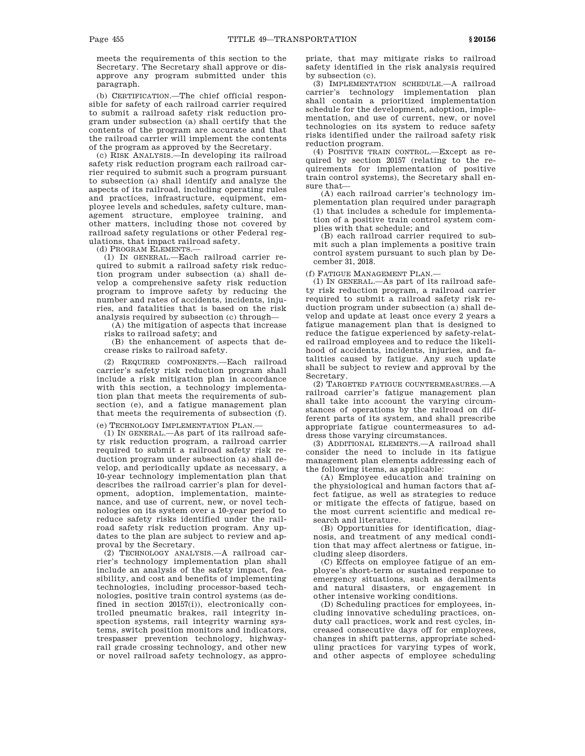meets the requirements of this section to the Secretary. The Secretary shall approve or disapprove any program submitted under this paragraph.

(b) CERTIFICATION.—The chief official responsible for safety of each railroad carrier required to submit a railroad safety risk reduction program under subsection (a) shall certify that the contents of the program are accurate and that the railroad carrier will implement the contents of the program as approved by the Secretary.

(c) RISK ANALYSIS.—In developing its railroad safety risk reduction program each railroad carrier required to submit such a program pursuant to subsection (a) shall identify and analyze the aspects of its railroad, including operating rules and practices, infrastructure, equipment, employee levels and schedules, safety culture, management structure, employee training, and other matters, including those not covered by railroad safety regulations or other Federal regulations, that impact railroad safety.

(d) PROGRAM ELEMENTS.—

(1) IN GENERAL.—Each railroad carrier required to submit a railroad safety risk reduction program under subsection (a) shall develop a comprehensive safety risk reduction program to improve safety by reducing the number and rates of accidents, incidents, injuries, and fatalities that is based on the risk analysis required by subsection (c) through—

(A) the mitigation of aspects that increase risks to railroad safety; and

(B) the enhancement of aspects that decrease risks to railroad safety.

(2) REQUIRED COMPONENTS.—Each railroad carrier's safety risk reduction program shall include a risk mitigation plan in accordance with this section, a technology implementation plan that meets the requirements of subsection (e), and a fatigue management plan that meets the requirements of subsection (f).

(e) TECHNOLOGY IMPLEMENTATION PLAN.—

(1) IN GENERAL.—As part of its railroad safety risk reduction program, a railroad carrier required to submit a railroad safety risk reduction program under subsection (a) shall develop, and periodically update as necessary, a 10-year technology implementation plan that describes the railroad carrier's plan for development, adoption, implementation, maintenance, and use of current, new, or novel technologies on its system over a 10-year period to reduce safety risks identified under the railroad safety risk reduction program. Any updates to the plan are subject to review and approval by the Secretary.

(2) TECHNOLOGY ANALYSIS.—A railroad carrier's technology implementation plan shall include an analysis of the safety impact, feasibility, and cost and benefits of implementing technologies, including processor-based technologies, positive train control systems (as defined in section 20157(i)), electronically controlled pneumatic brakes, rail integrity inspection systems, rail integrity warning systems, switch position monitors and indicators, trespasser prevention technology, highwayrail grade crossing technology, and other new or novel railroad safety technology, as appropriate, that may mitigate risks to railroad safety identified in the risk analysis required by subsection (c).

(3) IMPLEMENTATION SCHEDULE.—A railroad carrier's technology implementation plan shall contain a prioritized implementation schedule for the development, adoption, implementation, and use of current, new, or novel technologies on its system to reduce safety risks identified under the railroad safety risk reduction program.

(4) POSITIVE TRAIN CONTROL.—Except as required by section 20157 (relating to the requirements for implementation of positive train control systems), the Secretary shall ensure that—

(A) each railroad carrier's technology implementation plan required under paragraph (1) that includes a schedule for implementation of a positive train control system complies with that schedule; and

(B) each railroad carrier required to submit such a plan implements a positive train control system pursuant to such plan by December 31, 2018.

(f) FATIGUE MANAGEMENT PLAN.—

(1) IN GENERAL.—As part of its railroad safety risk reduction program, a railroad carrier required to submit a railroad safety risk reduction program under subsection (a) shall develop and update at least once every 2 years a fatigue management plan that is designed to reduce the fatigue experienced by safety-related railroad employees and to reduce the likelihood of accidents, incidents, injuries, and fatalities caused by fatigue. Any such update shall be subject to review and approval by the Secretary.

(2) TARGETED FATIGUE COUNTERMEASURES.—A railroad carrier's fatigue management plan shall take into account the varying circumstances of operations by the railroad on different parts of its system, and shall prescribe appropriate fatigue countermeasures to address those varying circumstances.

(3) ADDITIONAL ELEMENTS.—A railroad shall consider the need to include in its fatigue management plan elements addressing each of the following items, as applicable:

(A) Employee education and training on the physiological and human factors that affect fatigue, as well as strategies to reduce or mitigate the effects of fatigue, based on the most current scientific and medical research and literature.

(B) Opportunities for identification, diagnosis, and treatment of any medical condition that may affect alertness or fatigue, including sleep disorders.

(C) Effects on employee fatigue of an employee's short-term or sustained response to emergency situations, such as derailments and natural disasters, or engagement in other intensive working conditions.

(D) Scheduling practices for employees, including innovative scheduling practices, onduty call practices, work and rest cycles, increased consecutive days off for employees, changes in shift patterns, appropriate scheduling practices for varying types of work, and other aspects of employee scheduling